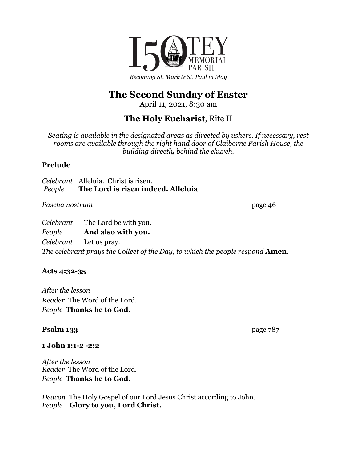

# **The Second Sunday of Easter**

April 11, 2021, 8:30 am

## **The Holy Eucharist**, Rite II

*Seating is available in the designated areas as directed by ushers. If necessary, rest rooms are available through the right hand door of Claiborne Parish House, the building directly behind the church.*

## **Prelude**

*Celebrant* Alleluia. Christ is risen. *People* **The Lord is risen indeed. Alleluia**

Pascha nostrum page 46

*Celebrant* The Lord be with you. *People* **And also with you.** *Celebrant* Let us pray. *The celebrant prays the Collect of the Day, to which the people respond* **Amen.**

## **Acts 4:32-35**

*After the lesson Reader* The Word of the Lord. *People* **Thanks be to God.**

## **Psalm 133** page 787

## **1 John 1:1-2 -2:2**

*After the lesson Reader* The Word of the Lord. *People* **Thanks be to God.**

*Deacon* The Holy Gospel of our Lord Jesus Christ according to John. *People* **Glory to you, Lord Christ.**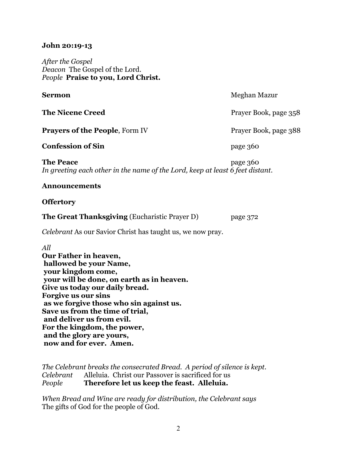#### **John 20:19-13**

*After the Gospel Deacon* The Gospel of the Lord. *People* **Praise to you, Lord Christ.**

| Sermon                                                                                            | Meghan Mazur          |
|---------------------------------------------------------------------------------------------------|-----------------------|
| <b>The Nicene Creed</b>                                                                           | Prayer Book, page 358 |
| <b>Prayers of the People, Form IV</b>                                                             | Prayer Book, page 388 |
| <b>Confession of Sin</b>                                                                          | page 360              |
| <b>The Peace</b><br>In greeting each other in the name of the Lord, keep at least 6 feet distant. | page 360              |
| <b>Announcements</b>                                                                              |                       |
| <b>Offertory</b>                                                                                  |                       |

**The Great Thanksgiving** (Eucharistic Prayer D) page 372

*Celebrant* As our Savior Christ has taught us, we now pray.

*All*

**Our Father in heaven, hallowed be your Name, your kingdom come, your will be done, on earth as in heaven. Give us today our daily bread. Forgive us our sins as we forgive those who sin against us. Save us from the time of trial, and deliver us from evil. For the kingdom, the power, and the glory are yours, now and for ever. Amen.**

*The Celebrant breaks the consecrated Bread. A period of silence is kept. Celebrant* Alleluia. Christ our Passover is sacrificed for us *People* **Therefore let us keep the feast. Alleluia.**

*When Bread and Wine are ready for distribution, the Celebrant says* The gifts of God for the people of God.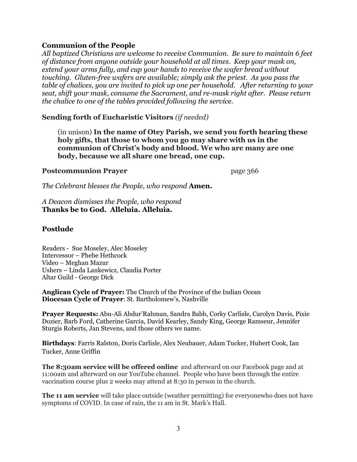### **Communion of the People**

*All baptized Christians are welcome to receive Communion. Be sure to maintain 6 feet of distance from anyone outside your household at all times. Keep your mask on, extend your arms fully, and cup your hands to receive the wafer bread without touching. Gluten-free wafers are available; simply ask the priest. As you pass the table of chalices, you are invited to pick up one per household. After returning to your seat, shift your mask, consume the Sacrament, and re-mask right after. Please return the chalice to one of the tables provided following the service.*

#### **Sending forth of Eucharistic Visitors** *(if needed)*

(in unison) **In the name of Otey Parish, we send you forth bearing these holy gifts, that those to whom you go may share with us in the communion of Christ's body and blood. We who are many are one body, because we all share one bread, one cup.**

#### **Postcommunion Prayer** page 366

*The Celebrant blesses the People, who respond* **Amen.**

*A Deacon dismisses the People, who respond* **Thanks be to God. Alleluia. Alleluia.**

#### **Postlude**

Readers - Sue Moseley, Alec Moseley Intercessor – Phebe Hethcock Video – Meghan Mazur Ushers – Linda Lankewicz, Claudia Porter Altar Guild - George Dick

**Anglican Cycle of Prayer:** The Church of the Province of the Indian Ocean **Diocesan Cycle of Prayer**: St. Bartholomew's, Nashville

**Prayer Requests:** Abu-Ali Abdur'Rahman, Sandra Babb, Corky Carlisle, Carolyn Davis, Pixie Dozier, Barb Ford, Catherine Garcia, David Kearley, Sandy King, George Ramseur, Jennifer Sturgis Roberts, Jan Stevens, and those others we name.

**Birthdays**: Farris Ralston, Doris Carlisle, Alex Neubauer, Adam Tucker, Hubert Cook, Ian Tucker, Anne Griffin

**The 8:30am service will be offered online** and afterward on our Facebook page and at 11:00am and afterward on our YouTube channel. People who have been through the entire vaccination course plus 2 weeks may attend at 8:30 in person in the church.

**The 11 am service** will take place outside (weather permitting) for everyonewho does not have symptoms of COVID. In case of rain, the 11 am in St. Mark's Hall.